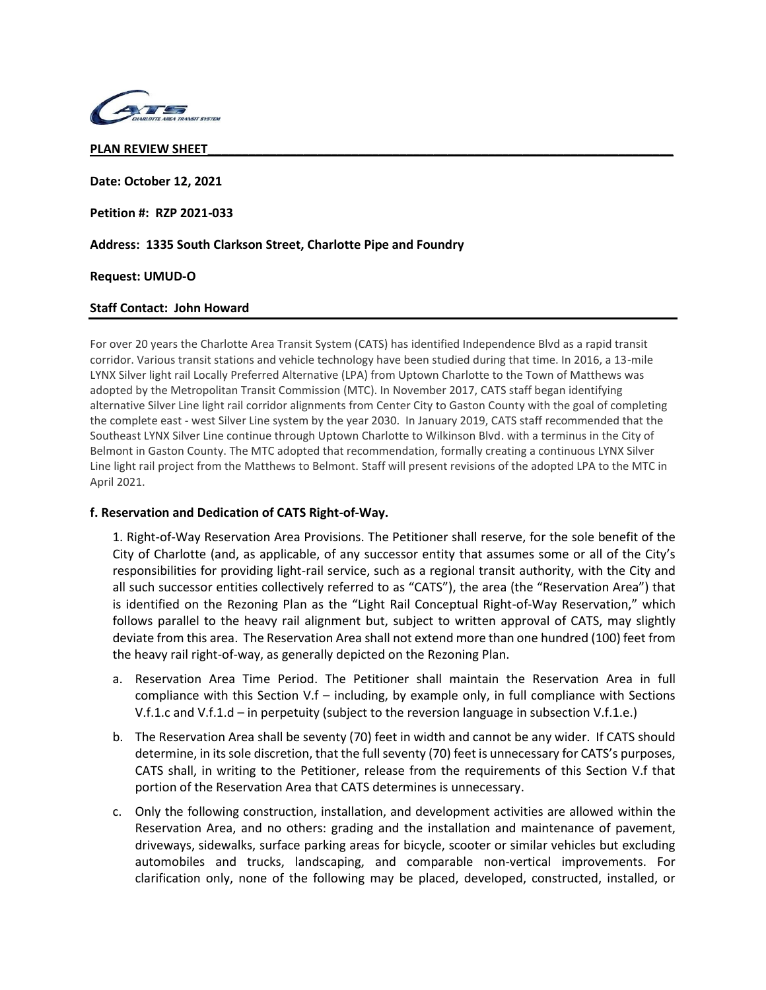

### **PLAN REVIEW SHEET\_\_\_\_\_\_\_\_\_\_\_\_\_\_\_\_\_\_\_\_\_\_\_\_\_\_\_\_\_\_\_\_\_\_\_\_\_\_\_\_\_\_\_\_\_\_\_\_\_\_\_\_\_\_\_\_\_\_\_\_\_\_\_\_\_\_\_\_**

**Date: October 12, 2021**

**Petition #: RZP 2021-033**

**Address: 1335 South Clarkson Street, Charlotte Pipe and Foundry**

### **Request: UMUD-O**

## **Staff Contact: John Howard**

For over 20 years the Charlotte Area Transit System (CATS) has identified Independence Blvd as a rapid transit corridor. Various transit stations and vehicle technology have been studied during that time. In 2016, a 13-mile LYNX Silver light rail Locally Preferred Alternative (LPA) from Uptown Charlotte to the Town of Matthews was adopted by the Metropolitan Transit Commission (MTC). In November 2017, CATS staff began identifying alternative Silver Line light rail corridor alignments from Center City to Gaston County with the goal of completing the complete east - west Silver Line system by the year 2030. In January 2019, CATS staff recommended that the Southeast LYNX Silver Line continue through Uptown Charlotte to Wilkinson Blvd. with a terminus in the City of Belmont in Gaston County. The MTC adopted that recommendation, formally creating a continuous LYNX Silver Line light rail project from the Matthews to Belmont. Staff will present revisions of the adopted LPA to the MTC in April 2021.

## **f. Reservation and Dedication of CATS Right-of-Way.**

1. Right-of-Way Reservation Area Provisions. The Petitioner shall reserve, for the sole benefit of the City of Charlotte (and, as applicable, of any successor entity that assumes some or all of the City's responsibilities for providing light-rail service, such as a regional transit authority, with the City and all such successor entities collectively referred to as "CATS"), the area (the "Reservation Area") that is identified on the Rezoning Plan as the "Light Rail Conceptual Right-of-Way Reservation," which follows parallel to the heavy rail alignment but, subject to written approval of CATS, may slightly deviate from this area. The Reservation Area shall not extend more than one hundred (100) feet from the heavy rail right-of-way, as generally depicted on the Rezoning Plan.

- a. Reservation Area Time Period. The Petitioner shall maintain the Reservation Area in full compliance with this Section V.f – including, by example only, in full compliance with Sections V.f.1.c and V.f.1.d – in perpetuity (subject to the reversion language in subsection V.f.1.e.)
- b. The Reservation Area shall be seventy (70) feet in width and cannot be any wider. If CATS should determine, in its sole discretion, that the full seventy (70) feet is unnecessary for CATS's purposes, CATS shall, in writing to the Petitioner, release from the requirements of this Section V.f that portion of the Reservation Area that CATS determines is unnecessary.
- c. Only the following construction, installation, and development activities are allowed within the Reservation Area, and no others: grading and the installation and maintenance of pavement, driveways, sidewalks, surface parking areas for bicycle, scooter or similar vehicles but excluding automobiles and trucks, landscaping, and comparable non-vertical improvements. For clarification only, none of the following may be placed, developed, constructed, installed, or